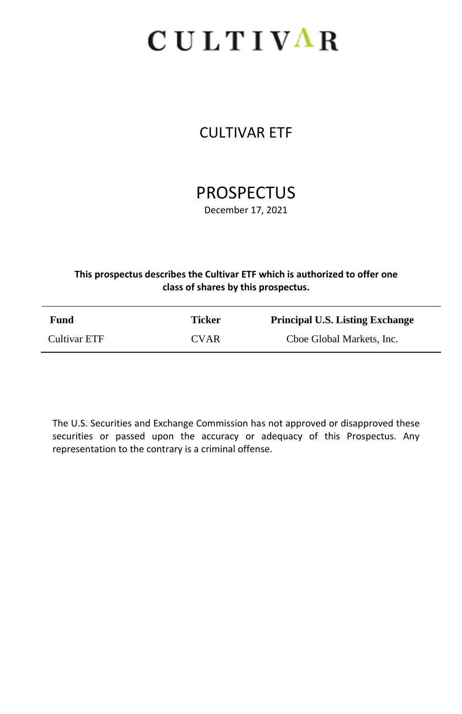# CULTIVAR

# CULTIVAR ETF

# **PROSPECTUS**

December 17, 2021

#### **This prospectus describes the Cultivar ETF which is authorized to offer one class of shares by this prospectus.**

| Fund         | Ticker      | <b>Principal U.S. Listing Exchange</b> |
|--------------|-------------|----------------------------------------|
| Cultivar ETF | <b>CVAR</b> | Cboe Global Markets, Inc.              |

The U.S. Securities and Exchange Commission has not approved or disapproved these securities or passed upon the accuracy or adequacy of this Prospectus. Any representation to the contrary is a criminal offense.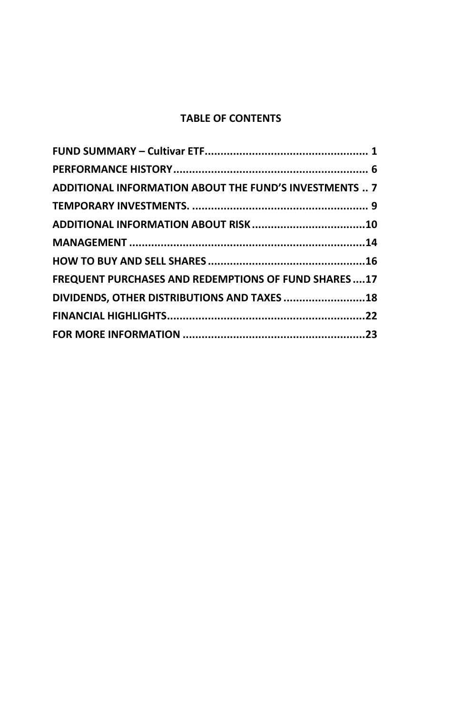## **TABLE OF CONTENTS**

| ADDITIONAL INFORMATION ABOUT THE FUND'S INVESTMENTS  7 |  |
|--------------------------------------------------------|--|
|                                                        |  |
|                                                        |  |
|                                                        |  |
|                                                        |  |
| FREQUENT PURCHASES AND REDEMPTIONS OF FUND SHARES  17  |  |
| DIVIDENDS, OTHER DISTRIBUTIONS AND TAXES 18            |  |
|                                                        |  |
|                                                        |  |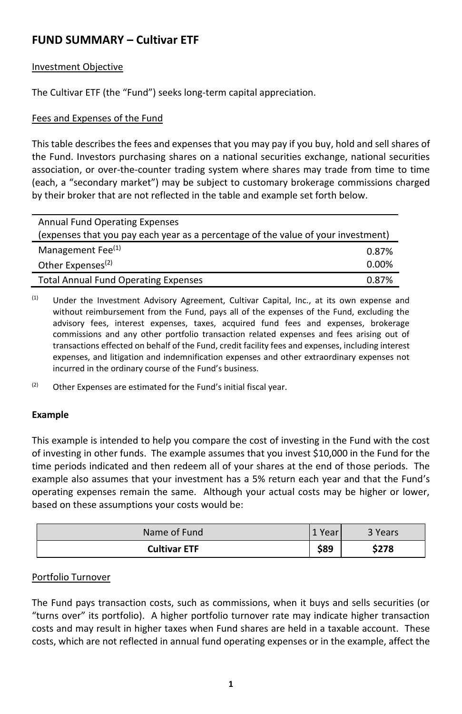# <span id="page-2-0"></span>**FUND SUMMARY – Cultivar ETF**

#### Investment Objective

The Cultivar ETF (the "Fund") seeks long-term capital appreciation.

#### Fees and Expenses of the Fund

This table describes the fees and expenses that you may pay if you buy, hold and sell shares of the Fund. Investors purchasing shares on a national securities exchange, national securities association, or over-the-counter trading system where shares may trade from time to time (each, a "secondary market") may be subject to customary brokerage commissions charged by their broker that are not reflected in the table and example set forth below.

| <b>Annual Fund Operating Expenses</b>                                             |          |  |  |
|-----------------------------------------------------------------------------------|----------|--|--|
| (expenses that you pay each year as a percentage of the value of your investment) |          |  |  |
| Management Fee <sup>(1)</sup>                                                     | 0.87%    |  |  |
| Other Expenses <sup>(2)</sup>                                                     | $0.00\%$ |  |  |
| <b>Total Annual Fund Operating Expenses</b>                                       | 0.87%    |  |  |

(1) Under the Investment Advisory Agreement, Cultivar Capital, Inc., at its own expense and without reimbursement from the Fund, pays all of the expenses of the Fund, excluding the advisory fees, interest expenses, taxes, acquired fund fees and expenses, brokerage commissions and any other portfolio transaction related expenses and fees arising out of transactions effected on behalf of the Fund, credit facility fees and expenses, including interest expenses, and litigation and indemnification expenses and other extraordinary expenses not incurred in the ordinary course of the Fund's business.

 $(2)$  Other Expenses are estimated for the Fund's initial fiscal year.

#### **Example**

This example is intended to help you compare the cost of investing in the Fund with the cost of investing in other funds. The example assumes that you invest \$10,000 in the Fund for the time periods indicated and then redeem all of your shares at the end of those periods. The example also assumes that your investment has a 5% return each year and that the Fund's operating expenses remain the same. Although your actual costs may be higher or lower, based on these assumptions your costs would be:

| Name of Fund        | 'Year | 3 Years |
|---------------------|-------|---------|
| <b>Cultivar ETF</b> | \$89  | \$278   |

#### Portfolio Turnover

The Fund pays transaction costs, such as commissions, when it buys and sells securities (or "turns over" its portfolio). A higher portfolio turnover rate may indicate higher transaction costs and may result in higher taxes when Fund shares are held in a taxable account. These costs, which are not reflected in annual fund operating expenses or in the example, affect the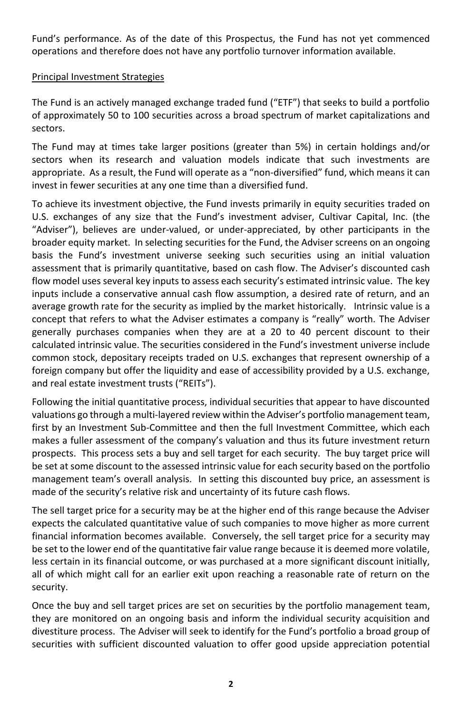Fund's performance. As of the date of this Prospectus, the Fund has not yet commenced operations and therefore does not have any portfolio turnover information available.

#### Principal Investment Strategies

The Fund is an actively managed exchange traded fund ("ETF") that seeks to build a portfolio of approximately 50 to 100 securities across a broad spectrum of market capitalizations and sectors.

The Fund may at times take larger positions (greater than 5%) in certain holdings and/or sectors when its research and valuation models indicate that such investments are appropriate. As a result, the Fund will operate as a "non-diversified" fund, which means it can invest in fewer securities at any one time than a diversified fund.

To achieve its investment objective, the Fund invests primarily in equity securities traded on U.S. exchanges of any size that the Fund's investment adviser, Cultivar Capital, Inc. (the "Adviser"), believes are under-valued, or under-appreciated, by other participants in the broader equity market. In selecting securities for the Fund, the Adviser screens on an ongoing basis the Fund's investment universe seeking such securities using an initial valuation assessment that is primarily quantitative, based on cash flow. The Adviser's discounted cash flow model uses several key inputs to assess each security's estimated intrinsic value. The key inputs include a conservative annual cash flow assumption, a desired rate of return, and an average growth rate for the security as implied by the market historically. Intrinsic value is a concept that refers to what the Adviser estimates a company is "really" worth. The Adviser generally purchases companies when they are at a 20 to 40 percent discount to their calculated intrinsic value. The securities considered in the Fund's investment universe include common stock, depositary receipts traded on U.S. exchanges that represent ownership of a foreign company but offer the liquidity and ease of accessibility provided by a U.S. exchange, and real estate investment trusts ("REITs").

Following the initial quantitative process, individual securities that appear to have discounted valuations go through a multi-layered review within the Adviser's portfolio management team, first by an Investment Sub-Committee and then the full Investment Committee, which each makes a fuller assessment of the company's valuation and thus its future investment return prospects. This process sets a buy and sell target for each security. The buy target price will be set at some discount to the assessed intrinsic value for each security based on the portfolio management team's overall analysis. In setting this discounted buy price, an assessment is made of the security's relative risk and uncertainty of its future cash flows.

The sell target price for a security may be at the higher end of this range because the Adviser expects the calculated quantitative value of such companies to move higher as more current financial information becomes available. Conversely, the sell target price for a security may be set to the lower end of the quantitative fair value range because it is deemed more volatile, less certain in its financial outcome, or was purchased at a more significant discount initially, all of which might call for an earlier exit upon reaching a reasonable rate of return on the security.

Once the buy and sell target prices are set on securities by the portfolio management team, they are monitored on an ongoing basis and inform the individual security acquisition and divestiture process. The Adviser will seek to identify for the Fund's portfolio a broad group of securities with sufficient discounted valuation to offer good upside appreciation potential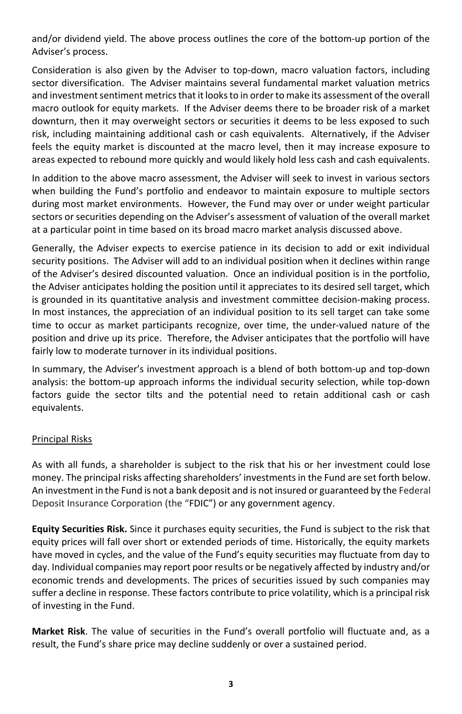and/or dividend yield. The above process outlines the core of the bottom-up portion of the Adviser's process.

Consideration is also given by the Adviser to top-down, macro valuation factors, including sector diversification. The Adviser maintains several fundamental market valuation metrics and investment sentiment metrics that it looks to in order to make its assessment of the overall macro outlook for equity markets. If the Adviser deems there to be broader risk of a market downturn, then it may overweight sectors or securities it deems to be less exposed to such risk, including maintaining additional cash or cash equivalents. Alternatively, if the Adviser feels the equity market is discounted at the macro level, then it may increase exposure to areas expected to rebound more quickly and would likely hold less cash and cash equivalents.

In addition to the above macro assessment, the Adviser will seek to invest in various sectors when building the Fund's portfolio and endeavor to maintain exposure to multiple sectors during most market environments. However, the Fund may over or under weight particular sectors or securities depending on the Adviser's assessment of valuation of the overall market at a particular point in time based on its broad macro market analysis discussed above.

Generally, the Adviser expects to exercise patience in its decision to add or exit individual security positions. The Adviser will add to an individual position when it declines within range of the Adviser's desired discounted valuation. Once an individual position is in the portfolio, the Adviser anticipates holding the position until it appreciates to its desired sell target, which is grounded in its quantitative analysis and investment committee decision-making process. In most instances, the appreciation of an individual position to its sell target can take some time to occur as market participants recognize, over time, the under-valued nature of the position and drive up its price. Therefore, the Adviser anticipates that the portfolio will have fairly low to moderate turnover in its individual positions.

In summary, the Adviser's investment approach is a blend of both bottom-up and top-down analysis: the bottom-up approach informs the individual security selection, while top-down factors guide the sector tilts and the potential need to retain additional cash or cash equivalents.

#### Principal Risks

As with all funds, a shareholder is subject to the risk that his or her investment could lose money. The principal risks affecting shareholders' investments in the Fund are set forth below. An investment in the Fund is not a bank deposit and is not insured or guaranteed by the Federal Deposit Insurance Corporation (the "FDIC") or any government agency.

**Equity Securities Risk.** Since it purchases equity securities, the Fund is subject to the risk that equity prices will fall over short or extended periods of time. Historically, the equity markets have moved in cycles, and the value of the Fund's equity securities may fluctuate from day to day. Individual companies may report poor results or be negatively affected by industry and/or economic trends and developments. The prices of securities issued by such companies may suffer a decline in response. These factors contribute to price volatility, which is a principal risk of investing in the Fund.

**Market Risk**. The value of securities in the Fund's overall portfolio will fluctuate and, as a result, the Fund's share price may decline suddenly or over a sustained period.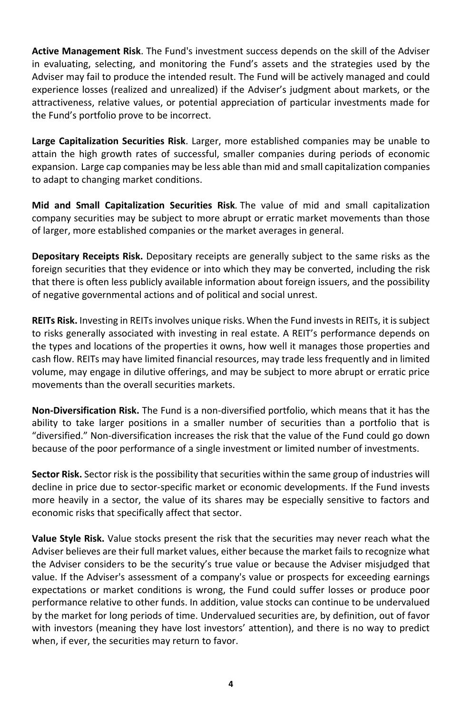**Active Management Risk**. The Fund's investment success depends on the skill of the Adviser in evaluating, selecting, and monitoring the Fund's assets and the strategies used by the Adviser may fail to produce the intended result. The Fund will be actively managed and could experience losses (realized and unrealized) if the Adviser's judgment about markets, or the attractiveness, relative values, or potential appreciation of particular investments made for the Fund's portfolio prove to be incorrect.

**Large Capitalization Securities Risk**. Larger, more established companies may be unable to attain the high growth rates of successful, smaller companies during periods of economic expansion. Large cap companies may be less able than mid and small capitalization companies to adapt to changing market conditions.

**Mid and Small Capitalization Securities Risk***.* The value of mid and small capitalization company securities may be subject to more abrupt or erratic market movements than those of larger, more established companies or the market averages in general.

**Depositary Receipts Risk.** Depositary receipts are generally subject to the same risks as the foreign securities that they evidence or into which they may be converted, including the risk that there is often less publicly available information about foreign issuers, and the possibility of negative governmental actions and of political and social unrest.

**REITs Risk.** Investing in REITs involves unique risks. When the Fund invests in REITs, it is subject to risks generally associated with investing in real estate. A REIT's performance depends on the types and locations of the properties it owns, how well it manages those properties and cash flow. REITs may have limited financial resources, may trade less frequently and in limited volume, may engage in dilutive offerings, and may be subject to more abrupt or erratic price movements than the overall securities markets.

**Non-Diversification Risk.** The Fund is a non-diversified portfolio, which means that it has the ability to take larger positions in a smaller number of securities than a portfolio that is "diversified." Non-diversification increases the risk that the value of the Fund could go down because of the poor performance of a single investment or limited number of investments.

**Sector Risk.** Sector risk is the possibility that securities within the same group of industries will decline in price due to sector-specific market or economic developments. If the Fund invests more heavily in a sector, the value of its shares may be especially sensitive to factors and economic risks that specifically affect that sector.

**Value Style Risk.** Value stocks present the risk that the securities may never reach what the Adviser believes are their full market values, either because the market fails to recognize what the Adviser considers to be the security's true value or because the Adviser misjudged that value. If the Adviser's assessment of a company's value or prospects for exceeding earnings expectations or market conditions is wrong, the Fund could suffer losses or produce poor performance relative to other funds. In addition, value stocks can continue to be undervalued by the market for long periods of time. Undervalued securities are, by definition, out of favor with investors (meaning they have lost investors' attention), and there is no way to predict when, if ever, the securities may return to favor.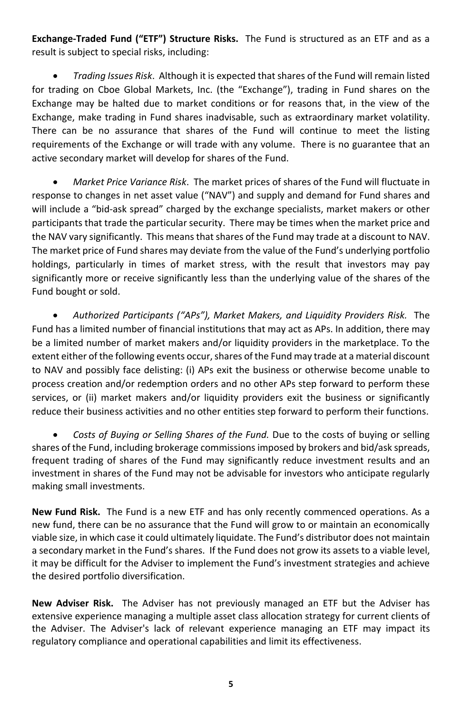**Exchange-Traded Fund ("ETF") Structure Risks.** The Fund is structured as an ETF and as a result is subject to special risks, including:

• *Trading Issues Risk*. Although it is expected that shares of the Fund will remain listed for trading on Cboe Global Markets, Inc. (the "Exchange"), trading in Fund shares on the Exchange may be halted due to market conditions or for reasons that, in the view of the Exchange, make trading in Fund shares inadvisable, such as extraordinary market volatility. There can be no assurance that shares of the Fund will continue to meet the listing requirements of the Exchange or will trade with any volume. There is no guarantee that an active secondary market will develop for shares of the Fund.

• *Market Price Variance Risk*. The market prices of shares of the Fund will fluctuate in response to changes in net asset value ("NAV") and supply and demand for Fund shares and will include a "bid-ask spread" charged by the exchange specialists, market makers or other participants that trade the particular security. There may be times when the market price and the NAV vary significantly. This means that shares of the Fund may trade at a discount to NAV. The market price of Fund shares may deviate from the value of the Fund's underlying portfolio holdings, particularly in times of market stress, with the result that investors may pay significantly more or receive significantly less than the underlying value of the shares of the Fund bought or sold.

• *Authorized Participants ("APs"), Market Makers, and Liquidity Providers Risk.* The Fund has a limited number of financial institutions that may act as APs. In addition, there may be a limited number of market makers and/or liquidity providers in the marketplace. To the extent either of the following events occur, shares of the Fund may trade at a material discount to NAV and possibly face delisting: (i) APs exit the business or otherwise become unable to process creation and/or redemption orders and no other APs step forward to perform these services, or (ii) market makers and/or liquidity providers exit the business or significantly reduce their business activities and no other entities step forward to perform their functions.

• *Costs of Buying or Selling Shares of the Fund.* Due to the costs of buying or selling shares of the Fund, including brokerage commissions imposed by brokers and bid/ask spreads, frequent trading of shares of the Fund may significantly reduce investment results and an investment in shares of the Fund may not be advisable for investors who anticipate regularly making small investments.

**New Fund Risk.** The Fund is a new ETF and has only recently commenced operations. As a new fund, there can be no assurance that the Fund will grow to or maintain an economically viable size, in which case it could ultimately liquidate. The Fund's distributor does not maintain a secondary market in the Fund's shares. If the Fund does not grow its assets to a viable level, it may be difficult for the Adviser to implement the Fund's investment strategies and achieve the desired portfolio diversification.

**New Adviser Risk.** The Adviser has not previously managed an ETF but the Adviser has extensive experience managing a multiple asset class allocation strategy for current clients of the Adviser. The Adviser's lack of relevant experience managing an ETF may impact its regulatory compliance and operational capabilities and limit its effectiveness.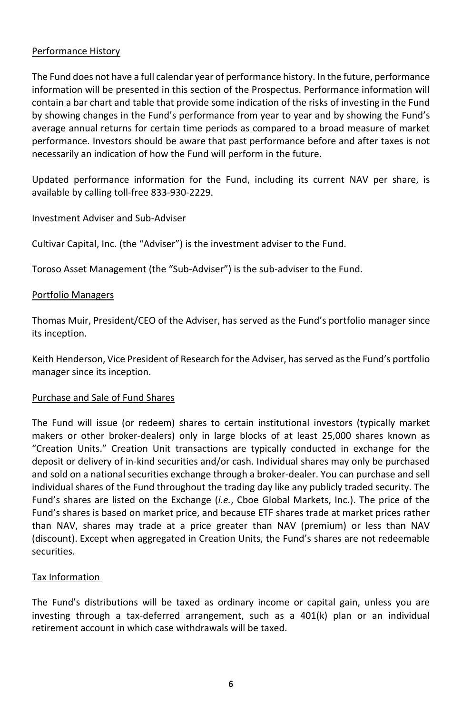#### <span id="page-7-0"></span>Performance History

The Fund does not have a full calendar year of performance history. In the future, performance information will be presented in this section of the Prospectus. Performance information will contain a bar chart and table that provide some indication of the risks of investing in the Fund by showing changes in the Fund's performance from year to year and by showing the Fund's average annual returns for certain time periods as compared to a broad measure of market performance. Investors should be aware that past performance before and after taxes is not necessarily an indication of how the Fund will perform in the future.

Updated performance information for the Fund, including its current NAV per share, is available by calling toll-free 833-930-2229.

#### Investment Adviser and Sub-Adviser

Cultivar Capital, Inc. (the "Adviser") is the investment adviser to the Fund.

Toroso Asset Management (the "Sub-Adviser") is the sub-adviser to the Fund.

#### Portfolio Managers

Thomas Muir, President/CEO of the Adviser, has served as the Fund's portfolio manager since its inception.

Keith Henderson, Vice President of Research for the Adviser, has served as the Fund's portfolio manager since its inception.

#### Purchase and Sale of Fund Shares

The Fund will issue (or redeem) shares to certain institutional investors (typically market makers or other broker-dealers) only in large blocks of at least 25,000 shares known as "Creation Units." Creation Unit transactions are typically conducted in exchange for the deposit or delivery of in-kind securities and/or cash. Individual shares may only be purchased and sold on a national securities exchange through a broker-dealer. You can purchase and sell individual shares of the Fund throughout the trading day like any publicly traded security. The Fund's shares are listed on the Exchange (*i.e.*, Cboe Global Markets, Inc.). The price of the Fund's shares is based on market price, and because ETF shares trade at market prices rather than NAV, shares may trade at a price greater than NAV (premium) or less than NAV (discount). Except when aggregated in Creation Units, the Fund's shares are not redeemable securities.

#### Tax Information

The Fund's distributions will be taxed as ordinary income or capital gain, unless you are investing through a tax-deferred arrangement, such as a 401(k) plan or an individual retirement account in which case withdrawals will be taxed.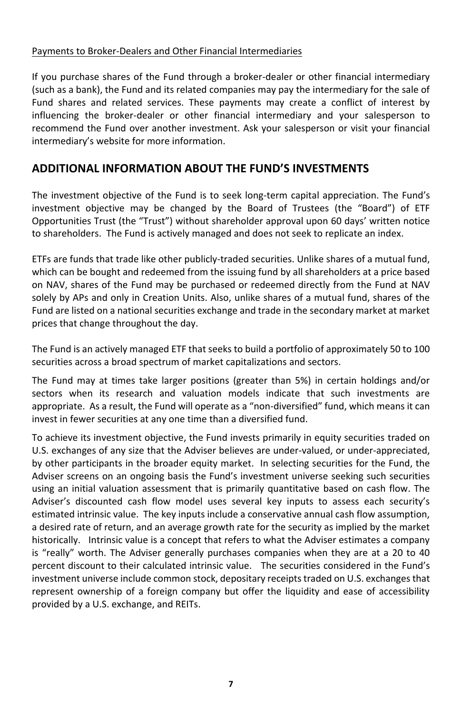#### Payments to Broker-Dealers and Other Financial Intermediaries

If you purchase shares of the Fund through a broker-dealer or other financial intermediary (such as a bank), the Fund and its related companies may pay the intermediary for the sale of Fund shares and related services. These payments may create a conflict of interest by influencing the broker-dealer or other financial intermediary and your salesperson to recommend the Fund over another investment. Ask your salesperson or visit your financial intermediary's website for more information.

# <span id="page-8-0"></span>**ADDITIONAL INFORMATION ABOUT THE FUND'S INVESTMENTS**

The investment objective of the Fund is to seek long-term capital appreciation. The Fund's investment objective may be changed by the Board of Trustees (the "Board") of ETF Opportunities Trust (the "Trust") without shareholder approval upon 60 days' written notice to shareholders. The Fund is actively managed and does not seek to replicate an index.

ETFs are funds that trade like other publicly-traded securities. Unlike shares of a mutual fund, which can be bought and redeemed from the issuing fund by all shareholders at a price based on NAV, shares of the Fund may be purchased or redeemed directly from the Fund at NAV solely by APs and only in Creation Units. Also, unlike shares of a mutual fund, shares of the Fund are listed on a national securities exchange and trade in the secondary market at market prices that change throughout the day.

The Fund is an actively managed ETF that seeks to build a portfolio of approximately 50 to 100 securities across a broad spectrum of market capitalizations and sectors.

The Fund may at times take larger positions (greater than 5%) in certain holdings and/or sectors when its research and valuation models indicate that such investments are appropriate. As a result, the Fund will operate as a "non-diversified" fund, which means it can invest in fewer securities at any one time than a diversified fund.

To achieve its investment objective, the Fund invests primarily in equity securities traded on U.S. exchanges of any size that the Adviser believes are under-valued, or under-appreciated, by other participants in the broader equity market. In selecting securities for the Fund, the Adviser screens on an ongoing basis the Fund's investment universe seeking such securities using an initial valuation assessment that is primarily quantitative based on cash flow. The Adviser's discounted cash flow model uses several key inputs to assess each security's estimated intrinsic value. The key inputs include a conservative annual cash flow assumption, a desired rate of return, and an average growth rate for the security as implied by the market historically. Intrinsic value is a concept that refers to what the Adviser estimates a company is "really" worth. The Adviser generally purchases companies when they are at a 20 to 40 percent discount to their calculated intrinsic value. The securities considered in the Fund's investment universe include common stock, depositary receipts traded on U.S. exchanges that represent ownership of a foreign company but offer the liquidity and ease of accessibility provided by a U.S. exchange, and REITs.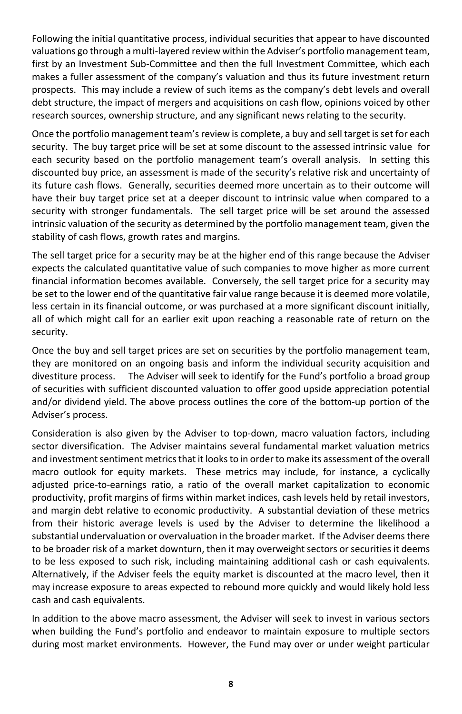Following the initial quantitative process, individual securities that appear to have discounted valuations go through a multi-layered review within the Adviser's portfolio management team, first by an Investment Sub-Committee and then the full Investment Committee, which each makes a fuller assessment of the company's valuation and thus its future investment return prospects. This may include a review of such items as the company's debt levels and overall debt structure, the impact of mergers and acquisitions on cash flow, opinions voiced by other research sources, ownership structure, and any significant news relating to the security.

Once the portfolio management team's review is complete, a buy and sell target is set for each security. The buy target price will be set at some discount to the assessed intrinsic value for each security based on the portfolio management team's overall analysis. In setting this discounted buy price, an assessment is made of the security's relative risk and uncertainty of its future cash flows. Generally, securities deemed more uncertain as to their outcome will have their buy target price set at a deeper discount to intrinsic value when compared to a security with stronger fundamentals. The sell target price will be set around the assessed intrinsic valuation of the security as determined by the portfolio management team, given the stability of cash flows, growth rates and margins.

The sell target price for a security may be at the higher end of this range because the Adviser expects the calculated quantitative value of such companies to move higher as more current financial information becomes available. Conversely, the sell target price for a security may be set to the lower end of the quantitative fair value range because it is deemed more volatile, less certain in its financial outcome, or was purchased at a more significant discount initially, all of which might call for an earlier exit upon reaching a reasonable rate of return on the security.

Once the buy and sell target prices are set on securities by the portfolio management team, they are monitored on an ongoing basis and inform the individual security acquisition and divestiture process. The Adviser will seek to identify for the Fund's portfolio a broad group of securities with sufficient discounted valuation to offer good upside appreciation potential and/or dividend yield. The above process outlines the core of the bottom-up portion of the Adviser's process.

Consideration is also given by the Adviser to top-down, macro valuation factors, including sector diversification. The Adviser maintains several fundamental market valuation metrics and investment sentiment metrics that it looks to in order to make its assessment of the overall macro outlook for equity markets. These metrics may include, for instance, a cyclically adjusted price-to-earnings ratio, a ratio of the overall market capitalization to economic productivity, profit margins of firms within market indices, cash levels held by retail investors, and margin debt relative to economic productivity. A substantial deviation of these metrics from their historic average levels is used by the Adviser to determine the likelihood a substantial undervaluation or overvaluation in the broader market. If the Adviser deems there to be broader risk of a market downturn, then it may overweight sectors or securities it deems to be less exposed to such risk, including maintaining additional cash or cash equivalents. Alternatively, if the Adviser feels the equity market is discounted at the macro level, then it may increase exposure to areas expected to rebound more quickly and would likely hold less cash and cash equivalents.

In addition to the above macro assessment, the Adviser will seek to invest in various sectors when building the Fund's portfolio and endeavor to maintain exposure to multiple sectors during most market environments. However, the Fund may over or under weight particular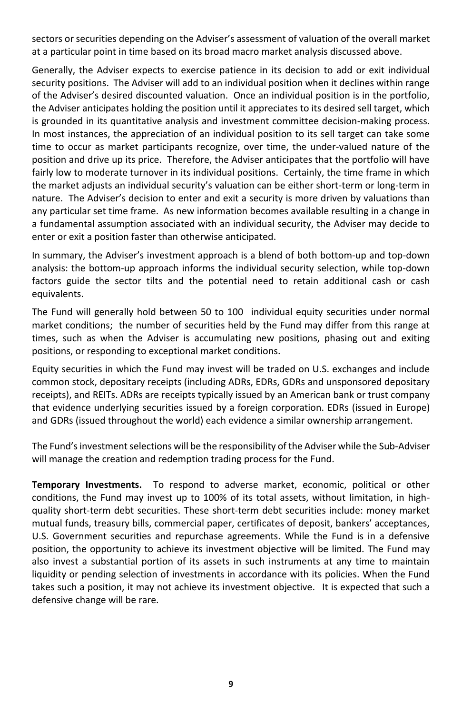sectors or securities depending on the Adviser's assessment of valuation of the overall market at a particular point in time based on its broad macro market analysis discussed above.

Generally, the Adviser expects to exercise patience in its decision to add or exit individual security positions. The Adviser will add to an individual position when it declines within range of the Adviser's desired discounted valuation. Once an individual position is in the portfolio, the Adviser anticipates holding the position until it appreciates to its desired sell target, which is grounded in its quantitative analysis and investment committee decision-making process. In most instances, the appreciation of an individual position to its sell target can take some time to occur as market participants recognize, over time, the under-valued nature of the position and drive up its price. Therefore, the Adviser anticipates that the portfolio will have fairly low to moderate turnover in its individual positions. Certainly, the time frame in which the market adjusts an individual security's valuation can be either short-term or long-term in nature. The Adviser's decision to enter and exit a security is more driven by valuations than any particular set time frame. As new information becomes available resulting in a change in a fundamental assumption associated with an individual security, the Adviser may decide to enter or exit a position faster than otherwise anticipated.

In summary, the Adviser's investment approach is a blend of both bottom-up and top-down analysis: the bottom-up approach informs the individual security selection, while top-down factors guide the sector tilts and the potential need to retain additional cash or cash equivalents.

The Fund will generally hold between 50 to 100 individual equity securities under normal market conditions; the number of securities held by the Fund may differ from this range at times, such as when the Adviser is accumulating new positions, phasing out and exiting positions, or responding to exceptional market conditions.

Equity securities in which the Fund may invest will be traded on U.S. exchanges and include common stock, depositary receipts (including ADRs, EDRs, GDRs and unsponsored depositary receipts), and REITs. ADRs are receipts typically issued by an American bank or trust company that evidence underlying securities issued by a foreign corporation. EDRs (issued in Europe) and GDRs (issued throughout the world) each evidence a similar ownership arrangement.

The Fund's investment selections will be the responsibility of the Adviser while the Sub-Adviser will manage the creation and redemption trading process for the Fund.

<span id="page-10-0"></span>**Temporary Investments.** To respond to adverse market, economic, political or other conditions, the Fund may invest up to 100% of its total assets, without limitation, in highquality short-term debt securities. These short-term debt securities include: money market mutual funds, treasury bills, commercial paper, certificates of deposit, bankers' acceptances, U.S. Government securities and repurchase agreements. While the Fund is in a defensive position, the opportunity to achieve its investment objective will be limited. The Fund may also invest a substantial portion of its assets in such instruments at any time to maintain liquidity or pending selection of investments in accordance with its policies. When the Fund takes such a position, it may not achieve its investment objective. It is expected that such a defensive change will be rare.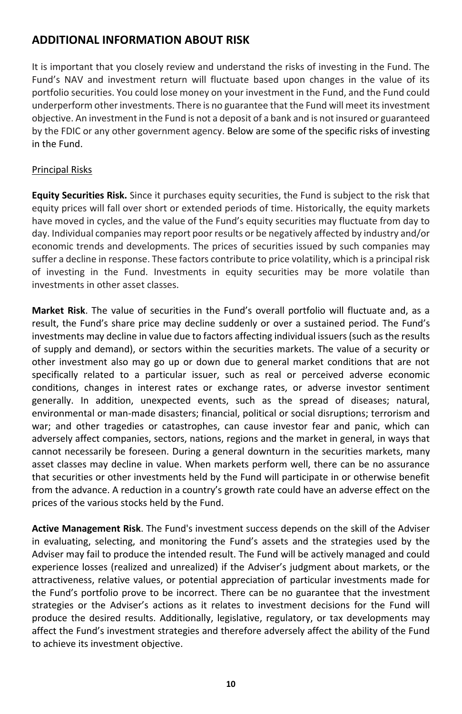# <span id="page-11-0"></span>**ADDITIONAL INFORMATION ABOUT RISK**

It is important that you closely review and understand the risks of investing in the Fund. The Fund's NAV and investment return will fluctuate based upon changes in the value of its portfolio securities. You could lose money on your investment in the Fund, and the Fund could underperform other investments. There is no guarantee that the Fund will meet its investment objective. An investment in the Fund is not a deposit of a bank and is not insured or guaranteed by the FDIC or any other government agency. Below are some of the specific risks of investing in the Fund.

#### Principal Risks

**Equity Securities Risk.** Since it purchases equity securities, the Fund is subject to the risk that equity prices will fall over short or extended periods of time. Historically, the equity markets have moved in cycles, and the value of the Fund's equity securities may fluctuate from day to day. Individual companies may report poor results or be negatively affected by industry and/or economic trends and developments. The prices of securities issued by such companies may suffer a decline in response. These factors contribute to price volatility, which is a principal risk of investing in the Fund. Investments in equity securities may be more volatile than investments in other asset classes.

**Market Risk**. The value of securities in the Fund's overall portfolio will fluctuate and, as a result, the Fund's share price may decline suddenly or over a sustained period. The Fund's investments may decline in value due to factors affecting individual issuers (such as the results of supply and demand), or sectors within the securities markets. The value of a security or other investment also may go up or down due to general market conditions that are not specifically related to a particular issuer, such as real or perceived adverse economic conditions, changes in interest rates or exchange rates, or adverse investor sentiment generally. In addition, unexpected events, such as the spread of diseases; natural, environmental or man-made disasters; financial, political or social disruptions; terrorism and war; and other tragedies or catastrophes, can cause investor fear and panic, which can adversely affect companies, sectors, nations, regions and the market in general, in ways that cannot necessarily be foreseen. During a general downturn in the securities markets, many asset classes may decline in value. When markets perform well, there can be no assurance that securities or other investments held by the Fund will participate in or otherwise benefit from the advance. A reduction in a country's growth rate could have an adverse effect on the prices of the various stocks held by the Fund.

**Active Management Risk**. The Fund's investment success depends on the skill of the Adviser in evaluating, selecting, and monitoring the Fund's assets and the strategies used by the Adviser may fail to produce the intended result. The Fund will be actively managed and could experience losses (realized and unrealized) if the Adviser's judgment about markets, or the attractiveness, relative values, or potential appreciation of particular investments made for the Fund's portfolio prove to be incorrect. There can be no guarantee that the investment strategies or the Adviser's actions as it relates to investment decisions for the Fund will produce the desired results. Additionally, legislative, regulatory, or tax developments may affect the Fund's investment strategies and therefore adversely affect the ability of the Fund to achieve its investment objective.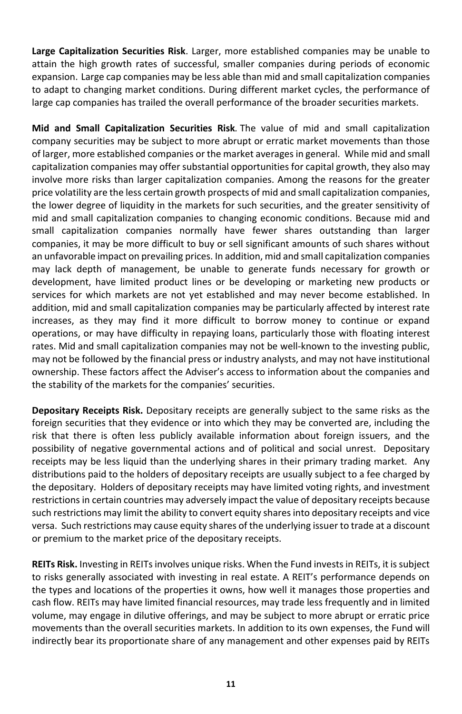**Large Capitalization Securities Risk**. Larger, more established companies may be unable to attain the high growth rates of successful, smaller companies during periods of economic expansion. Large cap companies may be less able than mid and small capitalization companies to adapt to changing market conditions. During different market cycles, the performance of large cap companies has trailed the overall performance of the broader securities markets.

**Mid and Small Capitalization Securities Risk***.* The value of mid and small capitalization company securities may be subject to more abrupt or erratic market movements than those of larger, more established companies or the market averages in general. While mid and small capitalization companies may offer substantial opportunities for capital growth, they also may involve more risks than larger capitalization companies. Among the reasons for the greater price volatility are the less certain growth prospects of mid and small capitalization companies, the lower degree of liquidity in the markets for such securities, and the greater sensitivity of mid and small capitalization companies to changing economic conditions. Because mid and small capitalization companies normally have fewer shares outstanding than larger companies, it may be more difficult to buy or sell significant amounts of such shares without an unfavorable impact on prevailing prices. In addition, mid and small capitalization companies may lack depth of management, be unable to generate funds necessary for growth or development, have limited product lines or be developing or marketing new products or services for which markets are not yet established and may never become established. In addition, mid and small capitalization companies may be particularly affected by interest rate increases, as they may find it more difficult to borrow money to continue or expand operations, or may have difficulty in repaying loans, particularly those with floating interest rates. Mid and small capitalization companies may not be well-known to the investing public, may not be followed by the financial press or industry analysts, and may not have institutional ownership. These factors affect the Adviser's access to information about the companies and the stability of the markets for the companies' securities.

**Depositary Receipts Risk.** Depositary receipts are generally subject to the same risks as the foreign securities that they evidence or into which they may be converted are, including the risk that there is often less publicly available information about foreign issuers, and the possibility of negative governmental actions and of political and social unrest. Depositary receipts may be less liquid than the underlying shares in their primary trading market. Any distributions paid to the holders of depositary receipts are usually subject to a fee charged by the depositary. Holders of depositary receipts may have limited voting rights, and investment restrictions in certain countries may adversely impact the value of depositary receipts because such restrictions may limit the ability to convert equity shares into depositary receipts and vice versa. Such restrictions may cause equity shares of the underlying issuer to trade at a discount or premium to the market price of the depositary receipts.

**REITs Risk.** Investing in REITs involves unique risks. When the Fund invests in REITs, it is subject to risks generally associated with investing in real estate. A REIT's performance depends on the types and locations of the properties it owns, how well it manages those properties and cash flow. REITs may have limited financial resources, may trade less frequently and in limited volume, may engage in dilutive offerings, and may be subject to more abrupt or erratic price movements than the overall securities markets. In addition to its own expenses, the Fund will indirectly bear its proportionate share of any management and other expenses paid by REITs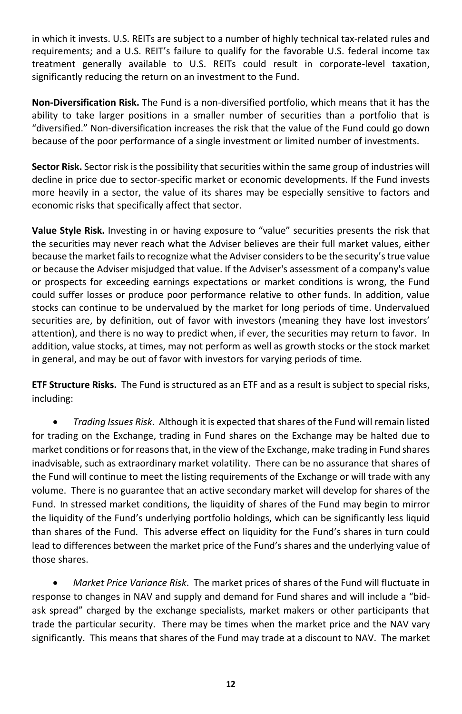in which it invests. U.S. REITs are subject to a number of highly technical tax-related rules and requirements; and a U.S. REIT's failure to qualify for the favorable U.S. federal income tax treatment generally available to U.S. REITs could result in corporate-level taxation, significantly reducing the return on an investment to the Fund.

**Non-Diversification Risk.** The Fund is a non-diversified portfolio, which means that it has the ability to take larger positions in a smaller number of securities than a portfolio that is "diversified." Non-diversification increases the risk that the value of the Fund could go down because of the poor performance of a single investment or limited number of investments.

**Sector Risk.** Sector risk is the possibility that securities within the same group of industries will decline in price due to sector-specific market or economic developments. If the Fund invests more heavily in a sector, the value of its shares may be especially sensitive to factors and economic risks that specifically affect that sector.

**Value Style Risk.** Investing in or having exposure to "value" securities presents the risk that the securities may never reach what the Adviser believes are their full market values, either because the market fails to recognize what the Adviser considers to be the security's true value or because the Adviser misjudged that value. If the Adviser's assessment of a company's value or prospects for exceeding earnings expectations or market conditions is wrong, the Fund could suffer losses or produce poor performance relative to other funds. In addition, value stocks can continue to be undervalued by the market for long periods of time. Undervalued securities are, by definition, out of favor with investors (meaning they have lost investors' attention), and there is no way to predict when, if ever, the securities may return to favor. In addition, value stocks, at times, may not perform as well as growth stocks or the stock market in general, and may be out of favor with investors for varying periods of time.

**ETF Structure Risks.** The Fund is structured as an ETF and as a result is subject to special risks, including:

• *Trading Issues Risk*. Although it is expected that shares of the Fund will remain listed for trading on the Exchange, trading in Fund shares on the Exchange may be halted due to market conditions or for reasons that, in the view of the Exchange, make trading in Fund shares inadvisable, such as extraordinary market volatility. There can be no assurance that shares of the Fund will continue to meet the listing requirements of the Exchange or will trade with any volume. There is no guarantee that an active secondary market will develop for shares of the Fund. In stressed market conditions, the liquidity of shares of the Fund may begin to mirror the liquidity of the Fund's underlying portfolio holdings, which can be significantly less liquid than shares of the Fund. This adverse effect on liquidity for the Fund's shares in turn could lead to differences between the market price of the Fund's shares and the underlying value of those shares.

• *Market Price Variance Risk*. The market prices of shares of the Fund will fluctuate in response to changes in NAV and supply and demand for Fund shares and will include a "bidask spread" charged by the exchange specialists, market makers or other participants that trade the particular security. There may be times when the market price and the NAV vary significantly. This means that shares of the Fund may trade at a discount to NAV. The market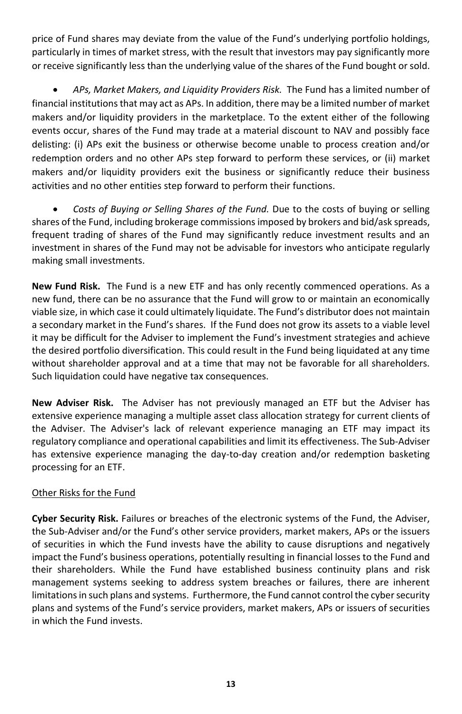price of Fund shares may deviate from the value of the Fund's underlying portfolio holdings, particularly in times of market stress, with the result that investors may pay significantly more or receive significantly less than the underlying value of the shares of the Fund bought or sold.

• *APs, Market Makers, and Liquidity Providers Risk.* The Fund has a limited number of financial institutions that may act as APs. In addition, there may be a limited number of market makers and/or liquidity providers in the marketplace. To the extent either of the following events occur, shares of the Fund may trade at a material discount to NAV and possibly face delisting: (i) APs exit the business or otherwise become unable to process creation and/or redemption orders and no other APs step forward to perform these services, or (ii) market makers and/or liquidity providers exit the business or significantly reduce their business activities and no other entities step forward to perform their functions.

• *Costs of Buying or Selling Shares of the Fund.* Due to the costs of buying or selling shares of the Fund, including brokerage commissions imposed by brokers and bid/ask spreads, frequent trading of shares of the Fund may significantly reduce investment results and an investment in shares of the Fund may not be advisable for investors who anticipate regularly making small investments.

**New Fund Risk.** The Fund is a new ETF and has only recently commenced operations. As a new fund, there can be no assurance that the Fund will grow to or maintain an economically viable size, in which case it could ultimately liquidate. The Fund's distributor does not maintain a secondary market in the Fund's shares. If the Fund does not grow its assets to a viable level it may be difficult for the Adviser to implement the Fund's investment strategies and achieve the desired portfolio diversification. This could result in the Fund being liquidated at any time without shareholder approval and at a time that may not be favorable for all shareholders. Such liquidation could have negative tax consequences.

**New Adviser Risk.** The Adviser has not previously managed an ETF but the Adviser has extensive experience managing a multiple asset class allocation strategy for current clients of the Adviser. The Adviser's lack of relevant experience managing an ETF may impact its regulatory compliance and operational capabilities and limit its effectiveness. The Sub-Adviser has extensive experience managing the day-to-day creation and/or redemption basketing processing for an ETF.

#### Other Risks for the Fund

**Cyber Security Risk.** Failures or breaches of the electronic systems of the Fund, the Adviser, the Sub-Adviser and/or the Fund's other service providers, market makers, APs or the issuers of securities in which the Fund invests have the ability to cause disruptions and negatively impact the Fund's business operations, potentially resulting in financial losses to the Fund and their shareholders. While the Fund have established business continuity plans and risk management systems seeking to address system breaches or failures, there are inherent limitations in such plans and systems. Furthermore, the Fund cannot control the cyber security plans and systems of the Fund's service providers, market makers, APs or issuers of securities in which the Fund invests.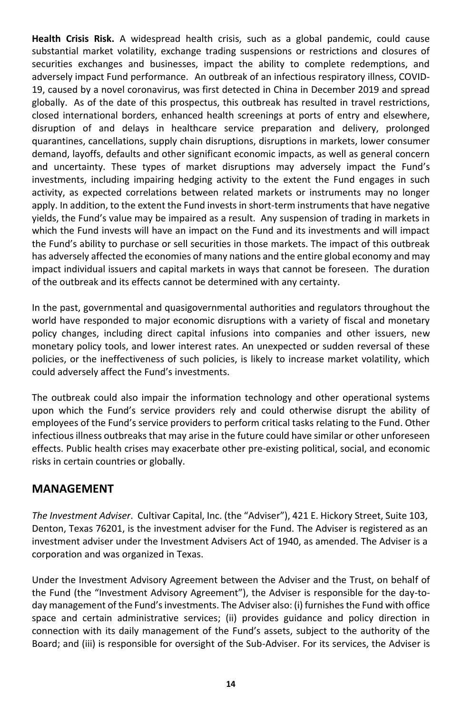**Health Crisis Risk.** A widespread health crisis, such as a global pandemic, could cause substantial market volatility, exchange trading suspensions or restrictions and closures of securities exchanges and businesses, impact the ability to complete redemptions, and adversely impact Fund performance. An outbreak of an infectious respiratory illness, COVID-19, caused by a novel coronavirus, was first detected in China in December 2019 and spread globally. As of the date of this prospectus, this outbreak has resulted in travel restrictions, closed international borders, enhanced health screenings at ports of entry and elsewhere, disruption of and delays in healthcare service preparation and delivery, prolonged quarantines, cancellations, supply chain disruptions, disruptions in markets, lower consumer demand, layoffs, defaults and other significant economic impacts, as well as general concern and uncertainty. These types of market disruptions may adversely impact the Fund's investments, including impairing hedging activity to the extent the Fund engages in such activity, as expected correlations between related markets or instruments may no longer apply. In addition, to the extent the Fund invests in short-term instruments that have negative yields, the Fund's value may be impaired as a result. Any suspension of trading in markets in which the Fund invests will have an impact on the Fund and its investments and will impact the Fund's ability to purchase or sell securities in those markets. The impact of this outbreak has adversely affected the economies of many nations and the entire global economy and may impact individual issuers and capital markets in ways that cannot be foreseen. The duration of the outbreak and its effects cannot be determined with any certainty.

In the past, governmental and quasigovernmental authorities and regulators throughout the world have responded to major economic disruptions with a variety of fiscal and monetary policy changes, including direct capital infusions into companies and other issuers, new monetary policy tools, and lower interest rates. An unexpected or sudden reversal of these policies, or the ineffectiveness of such policies, is likely to increase market volatility, which could adversely affect the Fund's investments.

The outbreak could also impair the information technology and other operational systems upon which the Fund's service providers rely and could otherwise disrupt the ability of employees of the Fund's service providers to perform critical tasks relating to the Fund. Other infectious illness outbreaks that may arise in the future could have similar or other unforeseen effects. Public health crises may exacerbate other pre-existing political, social, and economic risks in certain countries or globally.

# <span id="page-15-0"></span>**MANAGEMENT**

*The Investment Adviser*. Cultivar Capital, Inc. (the "Adviser"), 421 E. Hickory Street, Suite 103, Denton, Texas 76201, is the investment adviser for the Fund. The Adviser is registered as an investment adviser under the Investment Advisers Act of 1940, as amended. The Adviser is a corporation and was organized in Texas.

Under the Investment Advisory Agreement between the Adviser and the Trust, on behalf of the Fund (the "Investment Advisory Agreement"), the Adviser is responsible for the day-today management of the Fund's investments. The Adviser also: (i) furnishes the Fund with office space and certain administrative services; (ii) provides guidance and policy direction in connection with its daily management of the Fund's assets, subject to the authority of the Board; and (iii) is responsible for oversight of the Sub-Adviser. For its services, the Adviser is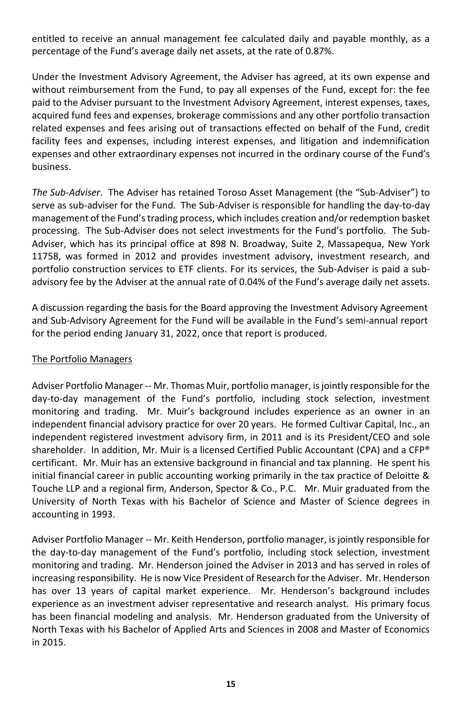entitled to receive an annual management fee calculated daily and payable monthly, as a percentage of the Fund's average daily net assets, at the rate of 0.87%.

Under the Investment Advisory Agreement, the Adviser has agreed, at its own expense and without reimbursement from the Fund, to pay all expenses of the Fund, except for: the fee paid to the Adviser pursuant to the Investment Advisory Agreement, interest expenses, taxes, acquired fund fees and expenses, brokerage commissions and any other portfolio transaction related expenses and fees arising out of transactions effected on behalf of the Fund, credit facility fees and expenses, including interest expenses, and litigation and indemnification expenses and other extraordinary expenses not incurred in the ordinary course of the Fund's business.

*The Sub-Adviser*. The Adviser has retained Toroso Asset Management (the "Sub-Adviser") to serve as sub-adviser for the Fund. The Sub-Adviser is responsible for handling the day-to-day management of the Fund's trading process, which includes creation and/or redemption basket processing. The Sub-Adviser does not select investments for the Fund's portfolio. The Sub-Adviser, which has its principal office at 898 N. Broadway, Suite 2, Massapequa, New York 11758, was formed in 2012 and provides investment advisory, investment research, and portfolio construction services to ETF clients. For its services, the Sub-Adviser is paid a subadvisory fee by the Adviser at the annual rate of 0.04% of the Fund's average daily net assets.

A discussion regarding the basis for the Board approving the Investment Advisory Agreement and Sub-Advisory Agreement for the Fund will be available in the Fund's semi-annual report for the period ending January 31, 2022, once that report is produced.

#### The Portfolio Managers

Adviser Portfolio Manager -- Mr. Thomas Muir, portfolio manager, is jointly responsible for the day-to-day management of the Fund's portfolio, including stock selection, investment monitoring and trading. Mr. Muir's background includes experience as an owner in an independent financial advisory practice for over 20 years. He formed Cultivar Capital, Inc., an independent registered investment advisory firm, in 2011 and is its President/CEO and sole shareholder. In addition, Mr. Muir is a licensed Certified Public Accountant (CPA) and a CFP® certificant. Mr. Muir has an extensive background in financial and tax planning. He spent his initial financial career in public accounting working primarily in the tax practice of Deloitte & Touche LLP and a regional firm, Anderson, Spector & Co., P.C. Mr. Muir graduated from the University of North Texas with his Bachelor of Science and Master of Science degrees in accounting in 1993.

Adviser Portfolio Manager -- Mr. Keith Henderson, portfolio manager, is jointly responsible for the day-to-day management of the Fund's portfolio, including stock selection, investment monitoring and trading. Mr. Henderson joined the Adviser in 2013 and has served in roles of increasing responsibility. He is now Vice President of Research for the Adviser. Mr. Henderson has over 13 years of capital market experience. Mr. Henderson's background includes experience as an investment adviser representative and research analyst. His primary focus has been financial modeling and analysis. Mr. Henderson graduated from the University of North Texas with his Bachelor of Applied Arts and Sciences in 2008 and Master of Economics in 2015.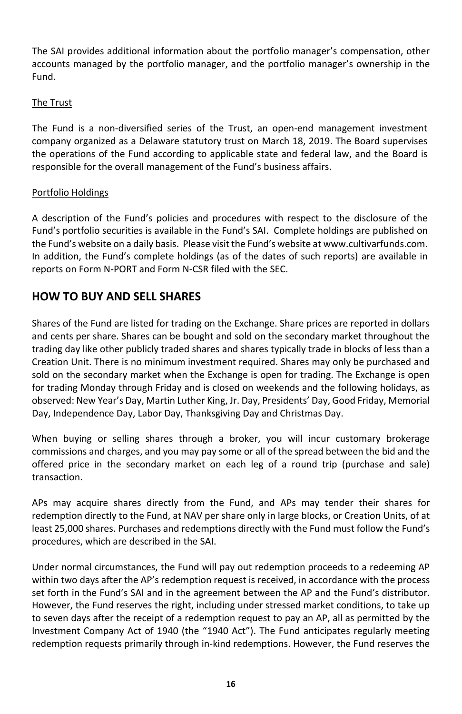The SAI provides additional information about the portfolio manager's compensation, other accounts managed by the portfolio manager, and the portfolio manager's ownership in the Fund.

#### The Trust

The Fund is a non-diversified series of the Trust, an open-end management investment company organized as a Delaware statutory trust on March 18, 2019. The Board supervises the operations of the Fund according to applicable state and federal law, and the Board is responsible for the overall management of the Fund's business affairs.

#### Portfolio Holdings

A description of the Fund's policies and procedures with respect to the disclosure of the Fund's portfolio securities is available in the Fund's SAI. Complete holdings are published on the Fund's website on a daily basis. Please visit the Fund's website at www.cultivarfunds.com. In addition, the Fund's complete holdings (as of the dates of such reports) are available in reports on Form N-PORT and Form N-CSR filed with the SEC.

# <span id="page-17-0"></span>**HOW TO BUY AND SELL SHARES**

Shares of the Fund are listed for trading on the Exchange. Share prices are reported in dollars and cents per share. Shares can be bought and sold on the secondary market throughout the trading day like other publicly traded shares and shares typically trade in blocks of less than a Creation Unit. There is no minimum investment required. Shares may only be purchased and sold on the secondary market when the Exchange is open for trading. The Exchange is open for trading Monday through Friday and is closed on weekends and the following holidays, as observed: New Year's Day, Martin Luther King, Jr. Day, Presidents' Day, Good Friday, Memorial Day, Independence Day, Labor Day, Thanksgiving Day and Christmas Day.

When buying or selling shares through a broker, you will incur customary brokerage commissions and charges, and you may pay some or all of the spread between the bid and the offered price in the secondary market on each leg of a round trip (purchase and sale) transaction.

APs may acquire shares directly from the Fund, and APs may tender their shares for redemption directly to the Fund, at NAV per share only in large blocks, or Creation Units, of at least 25,000 shares. Purchases and redemptions directly with the Fund must follow the Fund's procedures, which are described in the SAI.

Under normal circumstances, the Fund will pay out redemption proceeds to a redeeming AP within two days after the AP's redemption request is received, in accordance with the process set forth in the Fund's SAI and in the agreement between the AP and the Fund's distributor. However, the Fund reserves the right, including under stressed market conditions, to take up to seven days after the receipt of a redemption request to pay an AP, all as permitted by the Investment Company Act of 1940 (the "1940 Act"). The Fund anticipates regularly meeting redemption requests primarily through in-kind redemptions. However, the Fund reserves the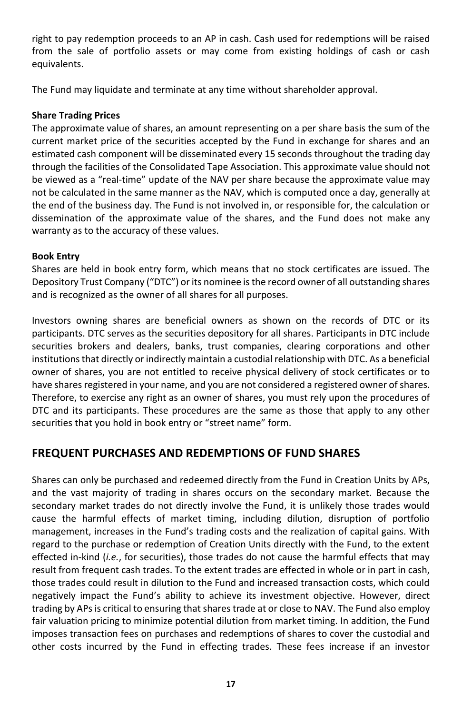right to pay redemption proceeds to an AP in cash. Cash used for redemptions will be raised from the sale of portfolio assets or may come from existing holdings of cash or cash equivalents.

The Fund may liquidate and terminate at any time without shareholder approval.

#### **Share Trading Prices**

The approximate value of shares, an amount representing on a per share basis the sum of the current market price of the securities accepted by the Fund in exchange for shares and an estimated cash component will be disseminated every 15 seconds throughout the trading day through the facilities of the Consolidated Tape Association. This approximate value should not be viewed as a "real-time" update of the NAV per share because the approximate value may not be calculated in the same manner as the NAV, which is computed once a day, generally at the end of the business day. The Fund is not involved in, or responsible for, the calculation or dissemination of the approximate value of the shares, and the Fund does not make any warranty as to the accuracy of these values.

#### **Book Entry**

Shares are held in book entry form, which means that no stock certificates are issued. The Depository Trust Company ("DTC") or its nominee is the record owner of all outstanding shares and is recognized as the owner of all shares for all purposes.

Investors owning shares are beneficial owners as shown on the records of DTC or its participants. DTC serves as the securities depository for all shares. Participants in DTC include securities brokers and dealers, banks, trust companies, clearing corporations and other institutions that directly or indirectly maintain a custodial relationship with DTC. As a beneficial owner of shares, you are not entitled to receive physical delivery of stock certificates or to have shares registered in your name, and you are not considered a registered owner of shares. Therefore, to exercise any right as an owner of shares, you must rely upon the procedures of DTC and its participants. These procedures are the same as those that apply to any other securities that you hold in book entry or "street name" form.

# <span id="page-18-0"></span>**FREQUENT PURCHASES AND REDEMPTIONS OF FUND SHARES**

Shares can only be purchased and redeemed directly from the Fund in Creation Units by APs, and the vast majority of trading in shares occurs on the secondary market. Because the secondary market trades do not directly involve the Fund, it is unlikely those trades would cause the harmful effects of market timing, including dilution, disruption of portfolio management, increases in the Fund's trading costs and the realization of capital gains. With regard to the purchase or redemption of Creation Units directly with the Fund, to the extent effected in-kind (*i.e.*, for securities), those trades do not cause the harmful effects that may result from frequent cash trades. To the extent trades are effected in whole or in part in cash, those trades could result in dilution to the Fund and increased transaction costs, which could negatively impact the Fund's ability to achieve its investment objective. However, direct trading by APs is critical to ensuring that shares trade at or close to NAV. The Fund also employ fair valuation pricing to minimize potential dilution from market timing. In addition, the Fund imposes transaction fees on purchases and redemptions of shares to cover the custodial and other costs incurred by the Fund in effecting trades. These fees increase if an investor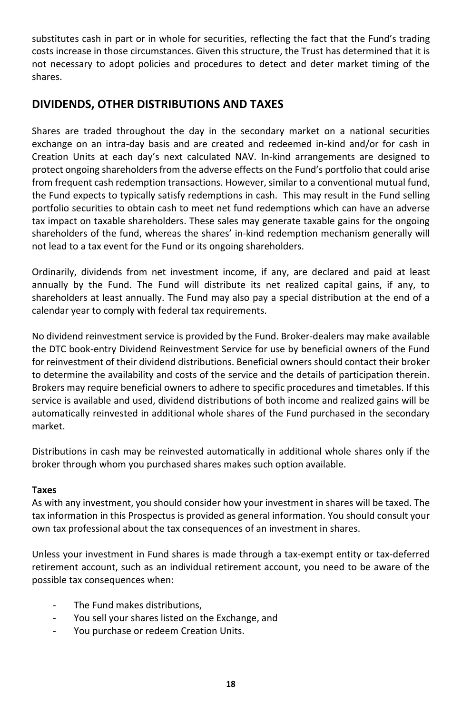substitutes cash in part or in whole for securities, reflecting the fact that the Fund's trading costs increase in those circumstances. Given this structure, the Trust has determined that it is not necessary to adopt policies and procedures to detect and deter market timing of the shares.

# <span id="page-19-0"></span>**DIVIDENDS, OTHER DISTRIBUTIONS AND TAXES**

Shares are traded throughout the day in the secondary market on a national securities exchange on an intra-day basis and are created and redeemed in-kind and/or for cash in Creation Units at each day's next calculated NAV. In-kind arrangements are designed to protect ongoing shareholders from the adverse effects on the Fund's portfolio that could arise from frequent cash redemption transactions. However, similar to a conventional mutual fund, the Fund expects to typically satisfy redemptions in cash. This may result in the Fund selling portfolio securities to obtain cash to meet net fund redemptions which can have an adverse tax impact on taxable shareholders. These sales may generate taxable gains for the ongoing shareholders of the fund, whereas the shares' in-kind redemption mechanism generally will not lead to a tax event for the Fund or its ongoing shareholders.

Ordinarily, dividends from net investment income, if any, are declared and paid at least annually by the Fund. The Fund will distribute its net realized capital gains, if any, to shareholders at least annually. The Fund may also pay a special distribution at the end of a calendar year to comply with federal tax requirements.

No dividend reinvestment service is provided by the Fund. Broker-dealers may make available the DTC book-entry Dividend Reinvestment Service for use by beneficial owners of the Fund for reinvestment of their dividend distributions. Beneficial owners should contact their broker to determine the availability and costs of the service and the details of participation therein. Brokers may require beneficial owners to adhere to specific procedures and timetables. If this service is available and used, dividend distributions of both income and realized gains will be automatically reinvested in additional whole shares of the Fund purchased in the secondary market.

Distributions in cash may be reinvested automatically in additional whole shares only if the broker through whom you purchased shares makes such option available.

#### **Taxes**

As with any investment, you should consider how your investment in shares will be taxed. The tax information in this Prospectus is provided as general information. You should consult your own tax professional about the tax consequences of an investment in shares.

Unless your investment in Fund shares is made through a tax-exempt entity or tax-deferred retirement account, such as an individual retirement account, you need to be aware of the possible tax consequences when:

- The Fund makes distributions,
- You sell your shares listed on the Exchange, and
- You purchase or redeem Creation Units.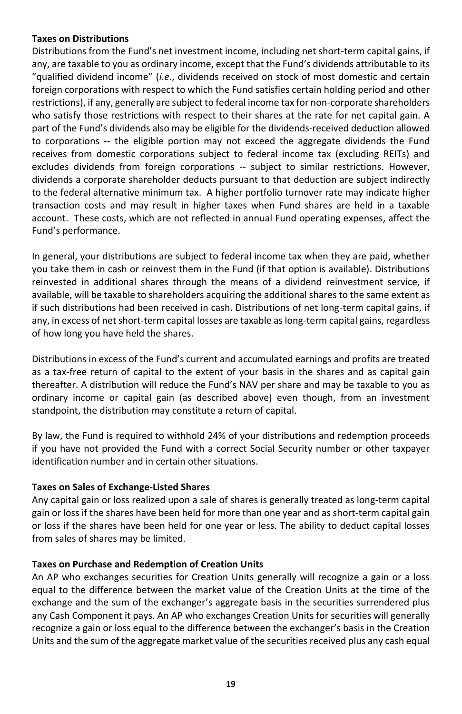#### **Taxes on Distributions**

Distributions from the Fund's net investment income, including net short-term capital gains, if any, are taxable to you as ordinary income, except that the Fund's dividends attributable to its "qualified dividend income" (*i.e*., dividends received on stock of most domestic and certain foreign corporations with respect to which the Fund satisfies certain holding period and other restrictions), if any, generally are subject to federal income tax for non-corporate shareholders who satisfy those restrictions with respect to their shares at the rate for net capital gain. A part of the Fund's dividends also may be eligible for the dividends-received deduction allowed to corporations -- the eligible portion may not exceed the aggregate dividends the Fund receives from domestic corporations subject to federal income tax (excluding REITs) and excludes dividends from foreign corporations -- subject to similar restrictions. However, dividends a corporate shareholder deducts pursuant to that deduction are subject indirectly to the federal alternative minimum tax. A higher portfolio turnover rate may indicate higher transaction costs and may result in higher taxes when Fund shares are held in a taxable account. These costs, which are not reflected in annual Fund operating expenses, affect the Fund's performance.

In general, your distributions are subject to federal income tax when they are paid, whether you take them in cash or reinvest them in the Fund (if that option is available). Distributions reinvested in additional shares through the means of a dividend reinvestment service, if available, will be taxable to shareholders acquiring the additional shares to the same extent as if such distributions had been received in cash. Distributions of net long-term capital gains, if any, in excess of net short-term capital losses are taxable as long-term capital gains, regardless of how long you have held the shares.

Distributions in excess of the Fund's current and accumulated earnings and profits are treated as a tax-free return of capital to the extent of your basis in the shares and as capital gain thereafter. A distribution will reduce the Fund's NAV per share and may be taxable to you as ordinary income or capital gain (as described above) even though, from an investment standpoint, the distribution may constitute a return of capital.

By law, the Fund is required to withhold 24% of your distributions and redemption proceeds if you have not provided the Fund with a correct Social Security number or other taxpayer identification number and in certain other situations.

#### **Taxes on Sales of Exchange-Listed Shares**

Any capital gain or loss realized upon a sale of shares is generally treated as long-term capital gain or loss if the shares have been held for more than one year and as short-term capital gain or loss if the shares have been held for one year or less. The ability to deduct capital losses from sales of shares may be limited.

#### **Taxes on Purchase and Redemption of Creation Units**

An AP who exchanges securities for Creation Units generally will recognize a gain or a loss equal to the difference between the market value of the Creation Units at the time of the exchange and the sum of the exchanger's aggregate basis in the securities surrendered plus any Cash Component it pays. An AP who exchanges Creation Units for securities will generally recognize a gain or loss equal to the difference between the exchanger's basis in the Creation Units and the sum of the aggregate market value of the securities received plus any cash equal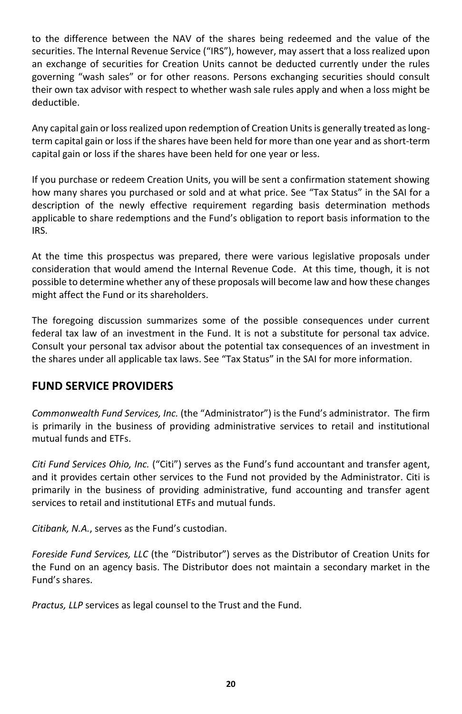to the difference between the NAV of the shares being redeemed and the value of the securities. The Internal Revenue Service ("IRS"), however, may assert that a loss realized upon an exchange of securities for Creation Units cannot be deducted currently under the rules governing "wash sales" or for other reasons. Persons exchanging securities should consult their own tax advisor with respect to whether wash sale rules apply and when a loss might be deductible.

Any capital gain or loss realized upon redemption of Creation Units is generally treated as longterm capital gain or loss if the shares have been held for more than one year and as short-term capital gain or loss if the shares have been held for one year or less.

If you purchase or redeem Creation Units, you will be sent a confirmation statement showing how many shares you purchased or sold and at what price. See "Tax Status" in the SAI for a description of the newly effective requirement regarding basis determination methods applicable to share redemptions and the Fund's obligation to report basis information to the IRS.

At the time this prospectus was prepared, there were various legislative proposals under consideration that would amend the Internal Revenue Code. At this time, though, it is not possible to determine whether any of these proposals will become law and how these changes might affect the Fund or its shareholders.

The foregoing discussion summarizes some of the possible consequences under current federal tax law of an investment in the Fund. It is not a substitute for personal tax advice. Consult your personal tax advisor about the potential tax consequences of an investment in the shares under all applicable tax laws. See "Tax Status" in the SAI for more information.

# **FUND SERVICE PROVIDERS**

*Commonwealth Fund Services, Inc.* (the "Administrator") is the Fund's administrator. The firm is primarily in the business of providing administrative services to retail and institutional mutual funds and ETFs.

*Citi Fund Services Ohio, Inc.* ("Citi") serves as the Fund's fund accountant and transfer agent, and it provides certain other services to the Fund not provided by the Administrator. Citi is primarily in the business of providing administrative, fund accounting and transfer agent services to retail and institutional ETFs and mutual funds.

*Citibank, N.A.*, serves as the Fund's custodian.

*Foreside Fund Services, LLC* (the "Distributor") serves as the Distributor of Creation Units for the Fund on an agency basis. The Distributor does not maintain a secondary market in the Fund's shares.

*Practus, LLP* services as legal counsel to the Trust and the Fund.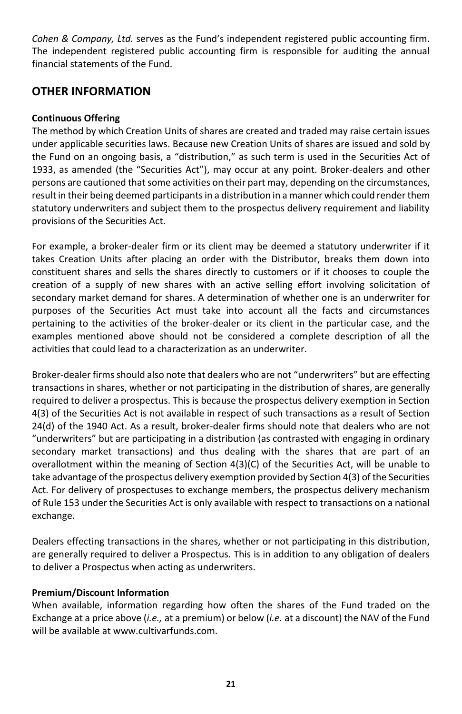*Cohen & Company, Ltd.* serves as the Fund's independent registered public accounting firm. The independent registered public accounting firm is responsible for auditing the annual financial statements of the Fund.

## **OTHER INFORMATION**

#### **Continuous Offering**

The method by which Creation Units of shares are created and traded may raise certain issues under applicable securities laws. Because new Creation Units of shares are issued and sold by the Fund on an ongoing basis, a "distribution," as such term is used in the Securities Act of 1933, as amended (the "Securities Act"), may occur at any point. Broker-dealers and other persons are cautioned that some activities on their part may, depending on the circumstances, result in their being deemed participants in a distribution in a manner which could render them statutory underwriters and subject them to the prospectus delivery requirement and liability provisions of the Securities Act.

For example, a broker-dealer firm or its client may be deemed a statutory underwriter if it takes Creation Units after placing an order with the Distributor, breaks them down into constituent shares and sells the shares directly to customers or if it chooses to couple the creation of a supply of new shares with an active selling effort involving solicitation of secondary market demand for shares. A determination of whether one is an underwriter for purposes of the Securities Act must take into account all the facts and circumstances pertaining to the activities of the broker-dealer or its client in the particular case, and the examples mentioned above should not be considered a complete description of all the activities that could lead to a characterization as an underwriter.

Broker-dealer firms should also note that dealers who are not "underwriters" but are effecting transactions in shares, whether or not participating in the distribution of shares, are generally required to deliver a prospectus. This is because the prospectus delivery exemption in Section 4(3) of the Securities Act is not available in respect of such transactions as a result of Section 24(d) of the 1940 Act. As a result, broker-dealer firms should note that dealers who are not "underwriters" but are participating in a distribution (as contrasted with engaging in ordinary secondary market transactions) and thus dealing with the shares that are part of an overallotment within the meaning of Section 4(3)(C) of the Securities Act, will be unable to take advantage of the prospectus delivery exemption provided by Section 4(3) of the Securities Act. For delivery of prospectuses to exchange members, the prospectus delivery mechanism of Rule 153 under the Securities Act is only available with respect to transactions on a national exchange.

Dealers effecting transactions in the shares, whether or not participating in this distribution, are generally required to deliver a Prospectus. This is in addition to any obligation of dealers to deliver a Prospectus when acting as underwriters.

#### **Premium/Discount Information**

When available, information regarding how often the shares of the Fund traded on the Exchange at a price above (*i.e.,* at a premium) or below (*i.e.* at a discount) the NAV of the Fund will be available at www.cultivarfunds.com.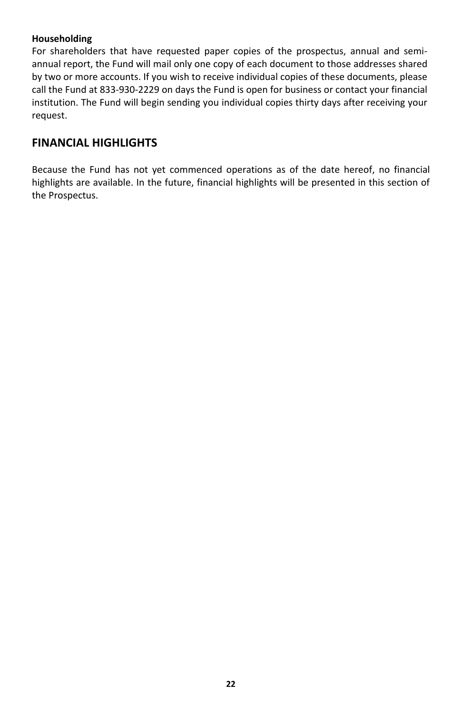#### **Householding**

For shareholders that have requested paper copies of the prospectus, annual and semiannual report, the Fund will mail only one copy of each document to those addresses shared by two or more accounts. If you wish to receive individual copies of these documents, please call the Fund at 833-930-2229 on days the Fund is open for business or contact your financial institution. The Fund will begin sending you individual copies thirty days after receiving your request.

# <span id="page-23-0"></span>**FINANCIAL HIGHLIGHTS**

Because the Fund has not yet commenced operations as of the date hereof, no financial highlights are available. In the future, financial highlights will be presented in this section of the Prospectus.